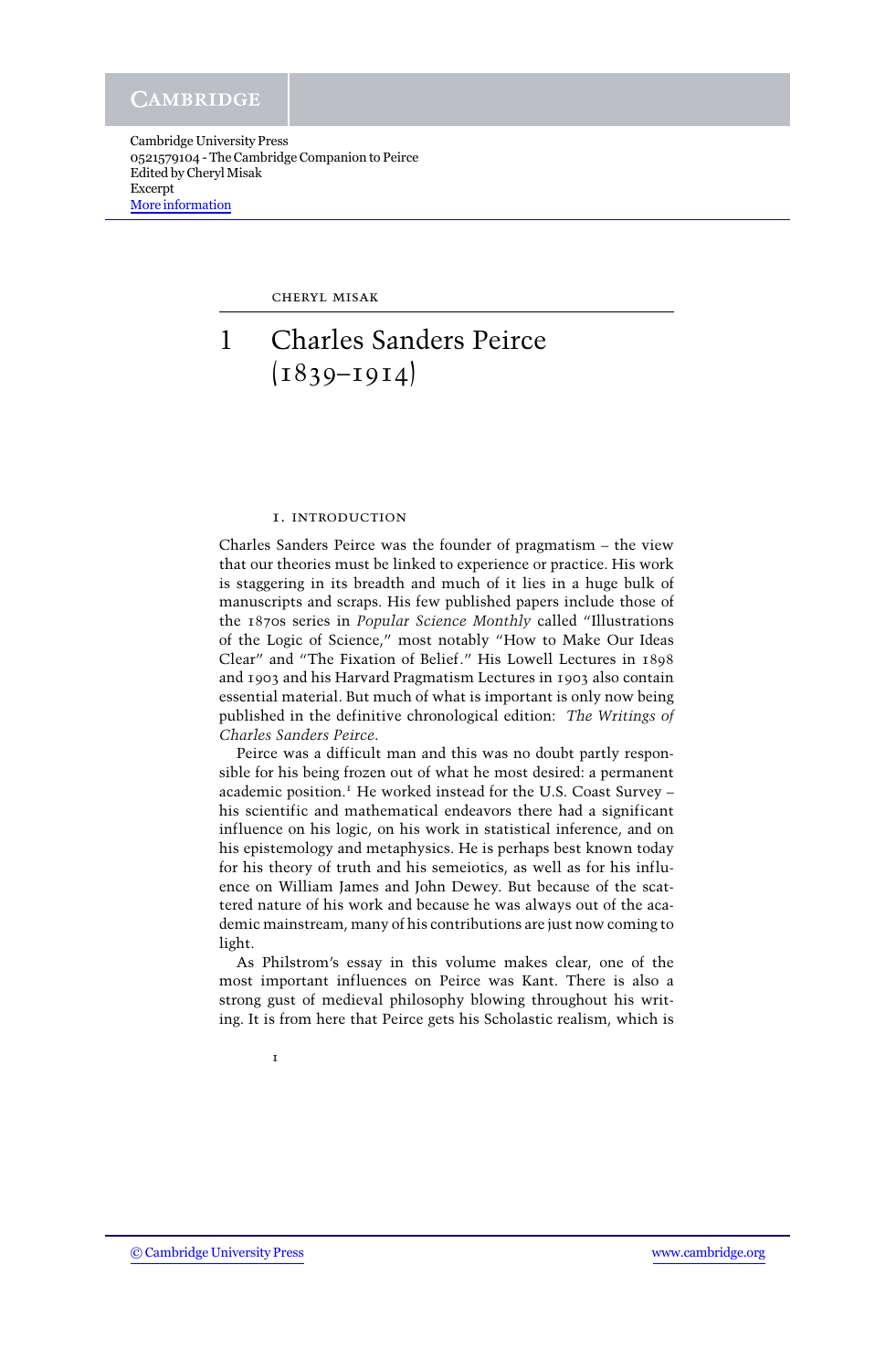cheryl misak

# 1 Charles Sanders Peirce  $(1839 - 1914)$

#### 1. introduction

Charles Sanders Peirce was the founder of pragmatism – the view that our theories must be linked to experience or practice. His work is staggering in its breadth and much of it lies in a huge bulk of manuscripts and scraps. His few published papers include those of the 1870s series in *Popular Science Monthly* called "Illustrations of the Logic of Science," most notably "How to Make Our Ideas Clear" and "The Fixation of Belief." His Lowell Lectures in 1898 and 1903 and his Harvard Pragmatism Lectures in 1903 also contain essential material. But much of what is important is only now being published in the definitive chronological edition: *The Writings of Charles Sanders Peirce*.

Peirce was a difficult man and this was no doubt partly responsible for his being frozen out of what he most desired: a permanent academic position.<sup>1</sup> He worked instead for the U.S. Coast Survey his scientific and mathematical endeavors there had a significant influence on his logic, on his work in statistical inference, and on his epistemology and metaphysics. He is perhaps best known today for his theory of truth and his semeiotics, as well as for his influence on William James and John Dewey. But because of the scattered nature of his work and because he was always out of the academic mainstream, many of his contributions are just now coming to light.

As Philstrom's essay in this volume makes clear, one of the most important influences on Peirce was Kant. There is also a strong gust of medieval philosophy blowing throughout his writing. It is from here that Peirce gets his Scholastic realism, which is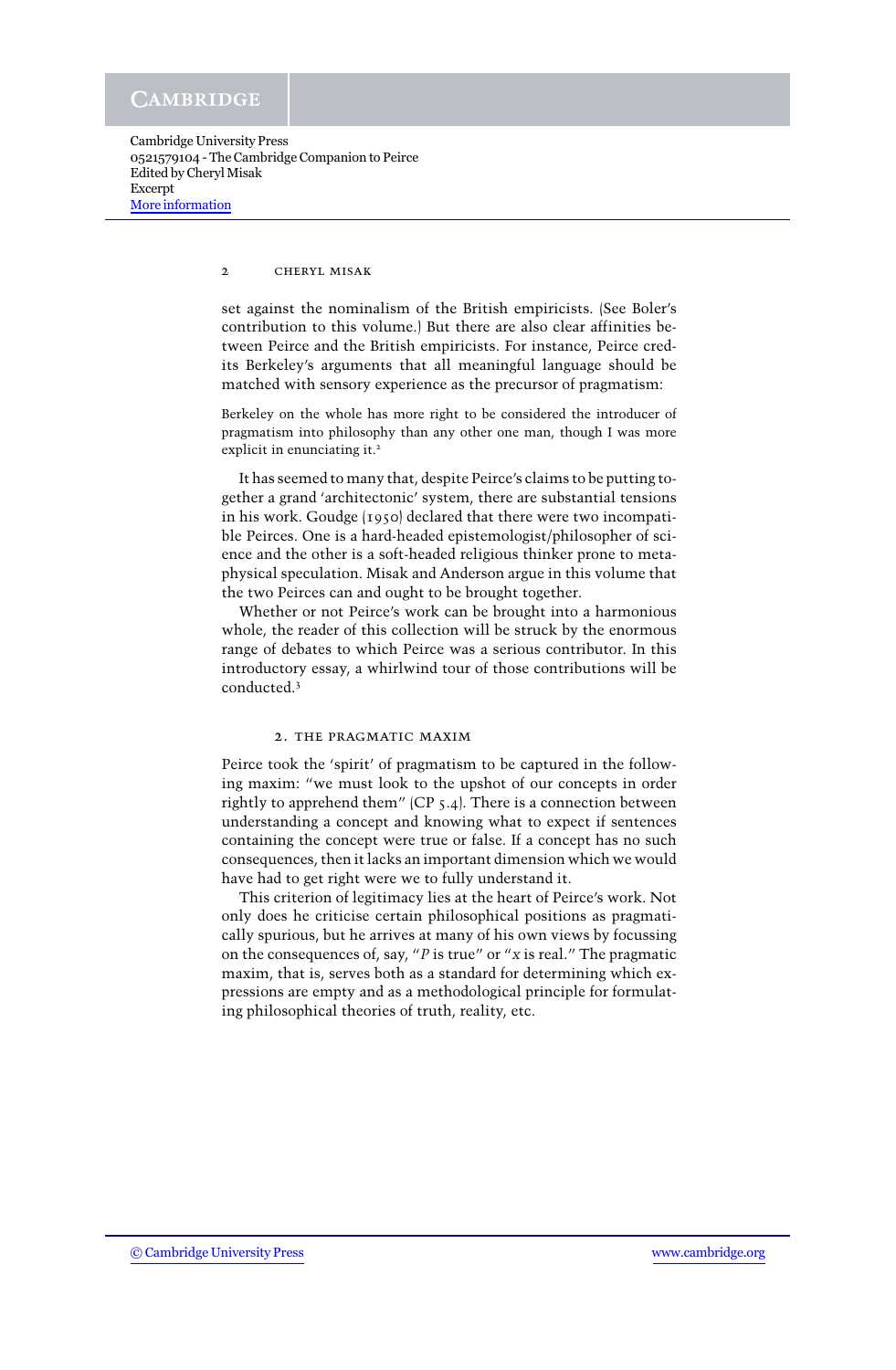#### 2 CHERYL MISAK

set against the nominalism of the British empiricists. (See Boler's contribution to this volume.) But there are also clear affinities between Peirce and the British empiricists. For instance, Peirce credits Berkeley's arguments that all meaningful language should be matched with sensory experience as the precursor of pragmatism:

Berkeley on the whole has more right to be considered the introducer of pragmatism into philosophy than any other one man, though I was more explicit in enunciating it.<sup>2</sup>

It has seemed to many that, despite Peirce's claims to be putting together a grand 'architectonic' system, there are substantial tensions in his work. Goudge (1950) declared that there were two incompatible Peirces. One is a hard-headed epistemologist/philosopher of science and the other is a soft-headed religious thinker prone to metaphysical speculation. Misak and Anderson argue in this volume that the two Peirces can and ought to be brought together.

Whether or not Peirce's work can be brought into a harmonious whole, the reader of this collection will be struck by the enormous range of debates to which Peirce was a serious contributor. In this introductory essay, a whirlwind tour of those contributions will be conducted.<sup>3</sup>

## 2. the pragmatic maxim

Peirce took the 'spirit' of pragmatism to be captured in the following maxim: "we must look to the upshot of our concepts in order rightly to apprehend them" (CP 5.4). There is a connection between understanding a concept and knowing what to expect if sentences containing the concept were true or false. If a concept has no such consequences, then it lacks an important dimension which we would have had to get right were we to fully understand it.

This criterion of legitimacy lies at the heart of Peirce's work. Not only does he criticise certain philosophical positions as pragmatically spurious, but he arrives at many of his own views by focussing on the consequences of, say, "*P* is true" or "*x* is real." The pragmatic maxim, that is, serves both as a standard for determining which expressions are empty and as a methodological principle for formulating philosophical theories of truth, reality, etc.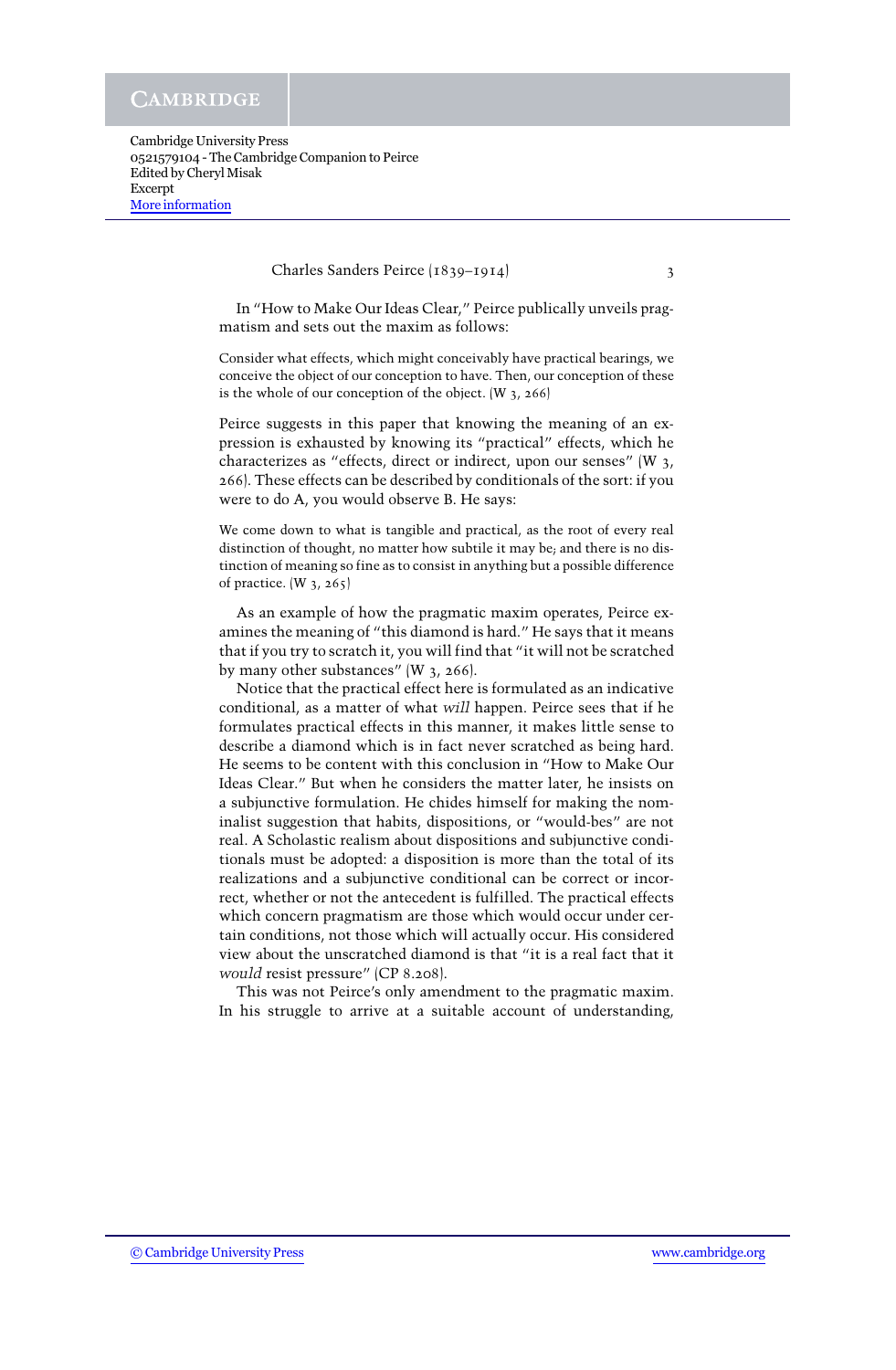Charles Sanders Peirce (1839–1914) 3

In "How to Make Our Ideas Clear," Peirce publically unveils pragmatism and sets out the maxim as follows:

Consider what effects, which might conceivably have practical bearings, we conceive the object of our conception to have. Then, our conception of these is the whole of our conception of the object.  $(W_3, 266)$ 

Peirce suggests in this paper that knowing the meaning of an expression is exhausted by knowing its "practical" effects, which he characterizes as "effects, direct or indirect, upon our senses" (W 3, 266). These effects can be described by conditionals of the sort: if you were to do A, you would observe B. He says:

We come down to what is tangible and practical, as the root of every real distinction of thought, no matter how subtile it may be; and there is no distinction of meaning so fine as to consist in anything but a possible difference of practice. (W 3, 265)

As an example of how the pragmatic maxim operates, Peirce examines the meaning of "this diamond is hard." He says that it means that if you try to scratch it, you will find that "it will not be scratched by many other substances" (W 3, 266).

Notice that the practical effect here is formulated as an indicative conditional, as a matter of what *will* happen. Peirce sees that if he formulates practical effects in this manner, it makes little sense to describe a diamond which is in fact never scratched as being hard. He seems to be content with this conclusion in "How to Make Our Ideas Clear." But when he considers the matter later, he insists on a subjunctive formulation. He chides himself for making the nominalist suggestion that habits, dispositions, or "would-bes" are not real. A Scholastic realism about dispositions and subjunctive conditionals must be adopted: a disposition is more than the total of its realizations and a subjunctive conditional can be correct or incorrect, whether or not the antecedent is fulfilled. The practical effects which concern pragmatism are those which would occur under certain conditions, not those which will actually occur. His considered view about the unscratched diamond is that "it is a real fact that it *would* resist pressure" (CP 8.208).

This was not Peirce's only amendment to the pragmatic maxim. In his struggle to arrive at a suitable account of understanding,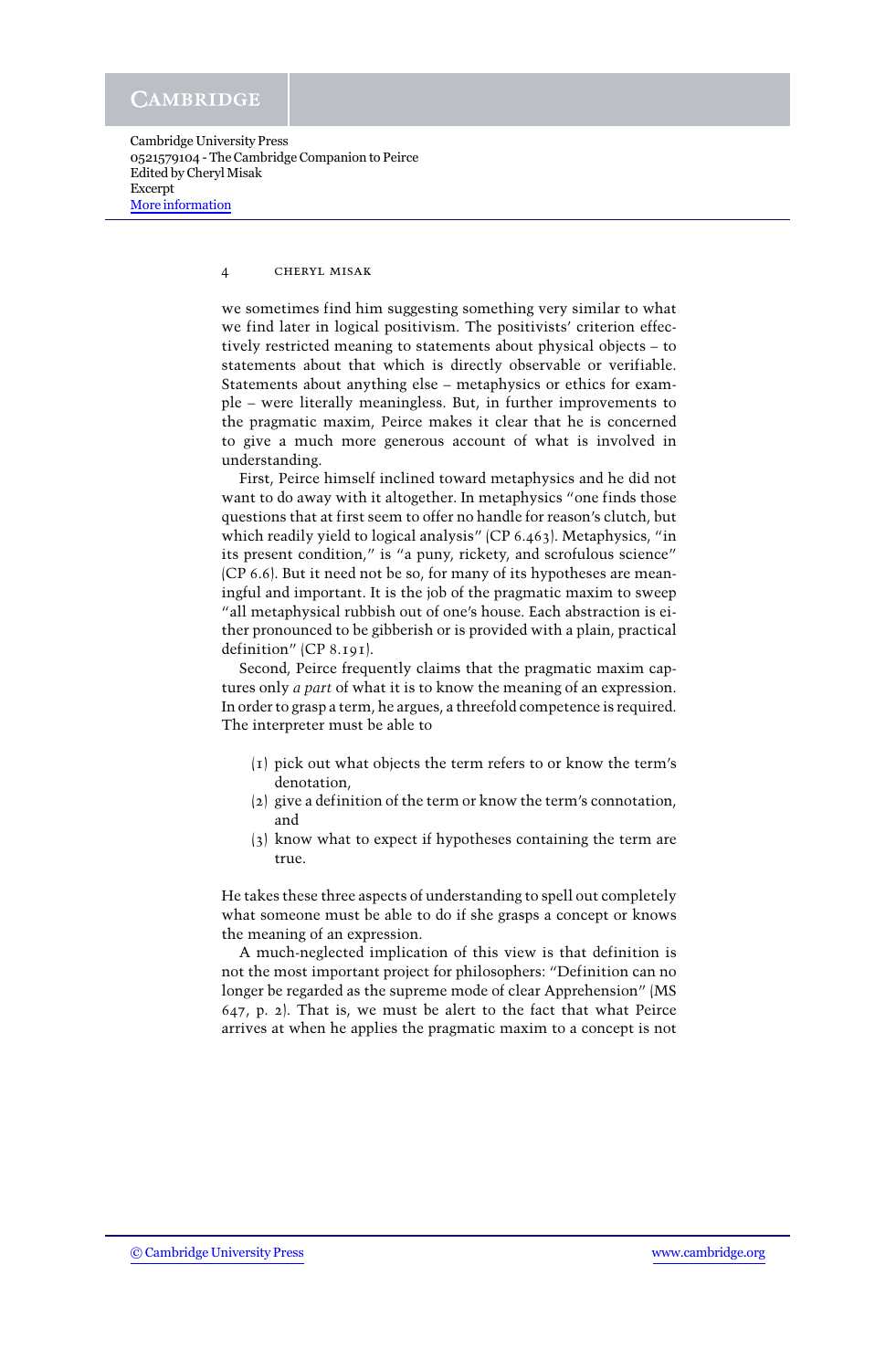**CAMBRIDGE** 

Cambridge University Press 0521579104 - The Cambridge Companion to Peirce Edited by Cheryl Misak Excerpt [More information](http://www.cambridge.org/0521579104)

#### 4 cheryl misak

we sometimes find him suggesting something very similar to what we find later in logical positivism. The positivists' criterion effectively restricted meaning to statements about physical objects – to statements about that which is directly observable or verifiable. Statements about anything else – metaphysics or ethics for example – were literally meaningless. But, in further improvements to the pragmatic maxim, Peirce makes it clear that he is concerned to give a much more generous account of what is involved in understanding.

First, Peirce himself inclined toward metaphysics and he did not want to do away with it altogether. In metaphysics "one finds those questions that at first seem to offer no handle for reason's clutch, but which readily yield to logical analysis" (CP 6.463). Metaphysics, "in its present condition," is "a puny, rickety, and scrofulous science" (CP 6.6). But it need not be so, for many of its hypotheses are meaningful and important. It is the job of the pragmatic maxim to sweep "all metaphysical rubbish out of one's house. Each abstraction is either pronounced to be gibberish or is provided with a plain, practical definition" (CP 8.191).

Second, Peirce frequently claims that the pragmatic maxim captures only *a part* of what it is to know the meaning of an expression. In order to grasp a term, he argues, a threefold competence is required. The interpreter must be able to

- (1) pick out what objects the term refers to or know the term's denotation,
- (2) give a definition of the term or know the term's connotation, and
- (3) know what to expect if hypotheses containing the term are true.

He takes these three aspects of understanding to spell out completely what someone must be able to do if she grasps a concept or knows the meaning of an expression.

A much-neglected implication of this view is that definition is not the most important project for philosophers: "Definition can no longer be regarded as the supreme mode of clear Apprehension" (MS 647, p. 2). That is, we must be alert to the fact that what Peirce arrives at when he applies the pragmatic maxim to a concept is not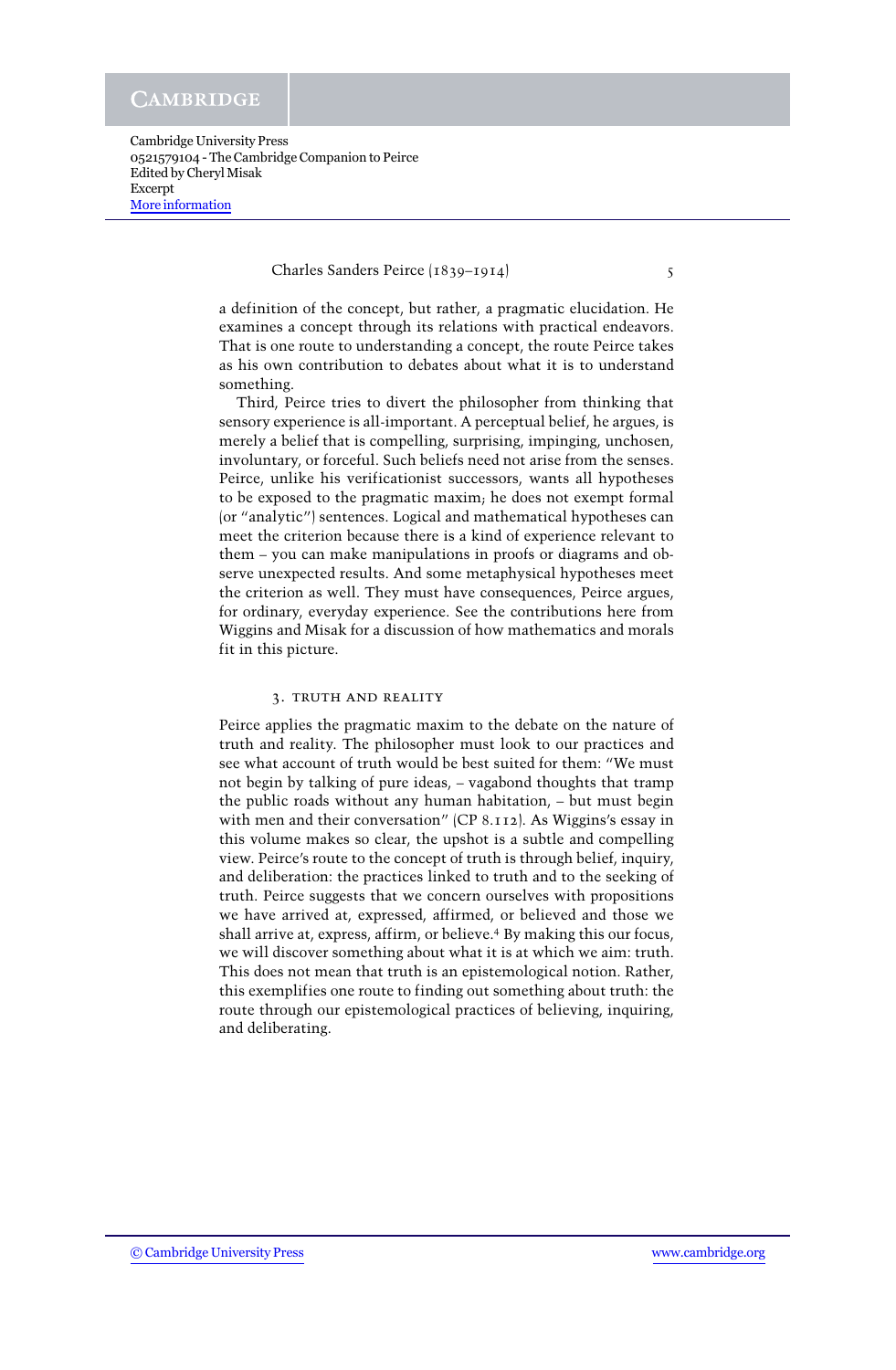**CAMBRIDGE** 

Cambridge University Press 0521579104 - The Cambridge Companion to Peirce Edited by Cheryl Misak Excerpt [More information](http://www.cambridge.org/0521579104)

Charles Sanders Peirce (1839–1914)

a definition of the concept, but rather, a pragmatic elucidation. He examines a concept through its relations with practical endeavors. That is one route to understanding a concept, the route Peirce takes as his own contribution to debates about what it is to understand something.

Third, Peirce tries to divert the philosopher from thinking that sensory experience is all-important. A perceptual belief, he argues, is merely a belief that is compelling, surprising, impinging, unchosen, involuntary, or forceful. Such beliefs need not arise from the senses. Peirce, unlike his verificationist successors, wants all hypotheses to be exposed to the pragmatic maxim; he does not exempt formal (or "analytic") sentences. Logical and mathematical hypotheses can meet the criterion because there is a kind of experience relevant to them – you can make manipulations in proofs or diagrams and observe unexpected results. And some metaphysical hypotheses meet the criterion as well. They must have consequences, Peirce argues, for ordinary, everyday experience. See the contributions here from Wiggins and Misak for a discussion of how mathematics and morals fit in this picture.

# 3. truth and reality

Peirce applies the pragmatic maxim to the debate on the nature of truth and reality. The philosopher must look to our practices and see what account of truth would be best suited for them: "We must not begin by talking of pure ideas, – vagabond thoughts that tramp the public roads without any human habitation, – but must begin with men and their conversation" (CP 8.112). As Wiggins's essay in this volume makes so clear, the upshot is a subtle and compelling view. Peirce's route to the concept of truth is through belief, inquiry, and deliberation: the practices linked to truth and to the seeking of truth. Peirce suggests that we concern ourselves with propositions we have arrived at, expressed, affirmed, or believed and those we shall arrive at, express, affirm, or believe.<sup>4</sup> By making this our focus, we will discover something about what it is at which we aim: truth. This does not mean that truth is an epistemological notion. Rather, this exemplifies one route to finding out something about truth: the route through our epistemological practices of believing, inquiring, and deliberating.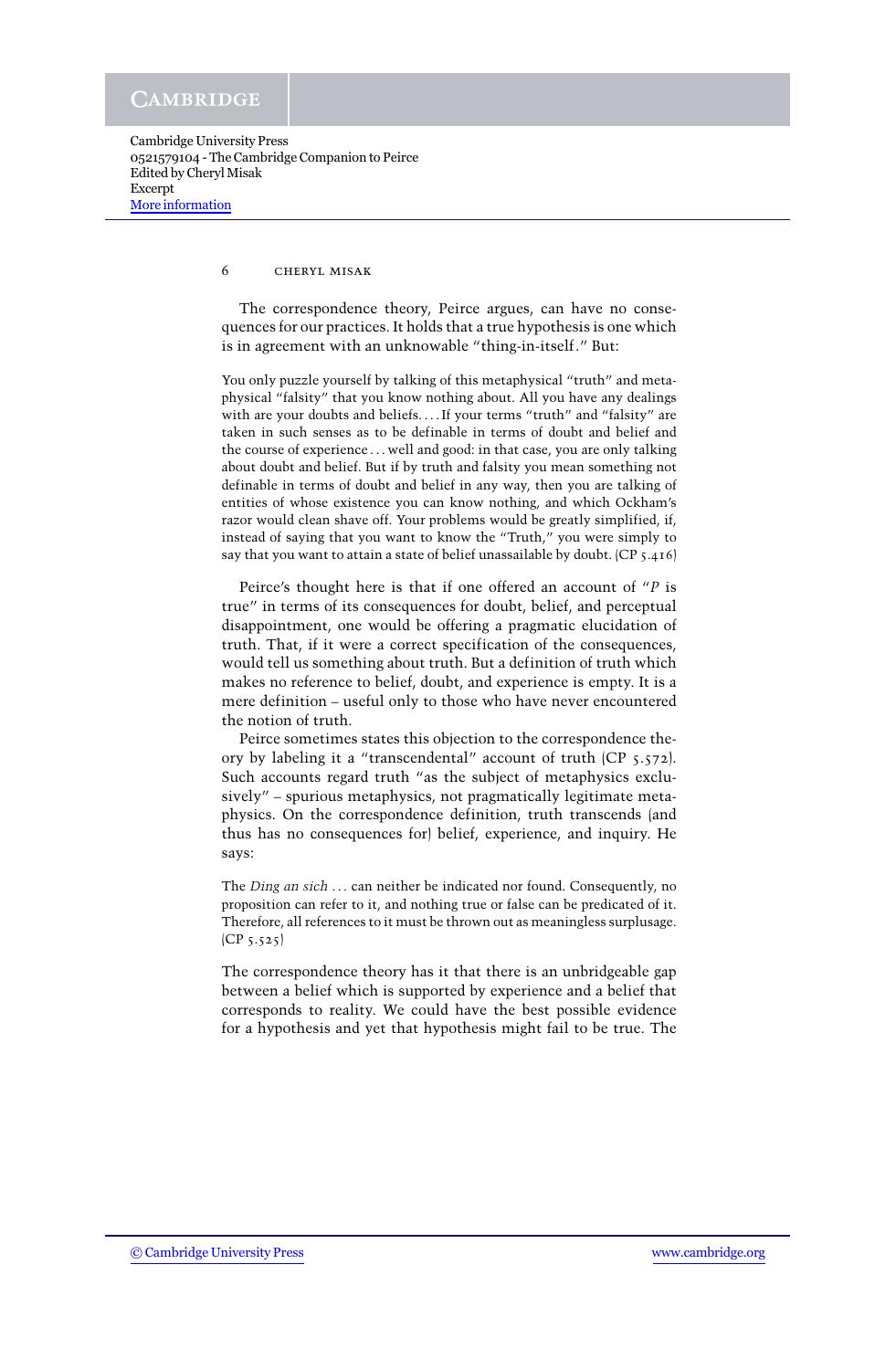#### 6 cheryl misak

The correspondence theory, Peirce argues, can have no consequences for our practices. It holds that a true hypothesis is one which is in agreement with an unknowable "thing-in-itself." But:

You only puzzle yourself by talking of this metaphysical "truth" and metaphysical "falsity" that you know nothing about. All you have any dealings with are your doubts and beliefs.... If your terms "truth" and "falsity" are taken in such senses as to be definable in terms of doubt and belief and the course of experience . . . well and good: in that case, you are only talking about doubt and belief. But if by truth and falsity you mean something not definable in terms of doubt and belief in any way, then you are talking of entities of whose existence you can know nothing, and which Ockham's razor would clean shave off. Your problems would be greatly simplified, if, instead of saying that you want to know the "Truth," you were simply to say that you want to attain a state of belief unassailable by doubt. (CP 5.416)

Peirce's thought here is that if one offered an account of "*P* is true" in terms of its consequences for doubt, belief, and perceptual disappointment, one would be offering a pragmatic elucidation of truth. That, if it were a correct specification of the consequences, would tell us something about truth. But a definition of truth which makes no reference to belief, doubt, and experience is empty. It is a mere definition – useful only to those who have never encountered the notion of truth.

Peirce sometimes states this objection to the correspondence theory by labeling it a "transcendental" account of truth (CP 5.572). Such accounts regard truth "as the subject of metaphysics exclusively" – spurious metaphysics, not pragmatically legitimate metaphysics. On the correspondence definition, truth transcends (and thus has no consequences for) belief, experience, and inquiry. He says:

The *Ding an sich* ... can neither be indicated nor found. Consequently, no proposition can refer to it, and nothing true or false can be predicated of it. Therefore, all references to it must be thrown out as meaningless surplusage. (CP 5.525)

The correspondence theory has it that there is an unbridgeable gap between a belief which is supported by experience and a belief that corresponds to reality. We could have the best possible evidence for a hypothesis and yet that hypothesis might fail to be true. The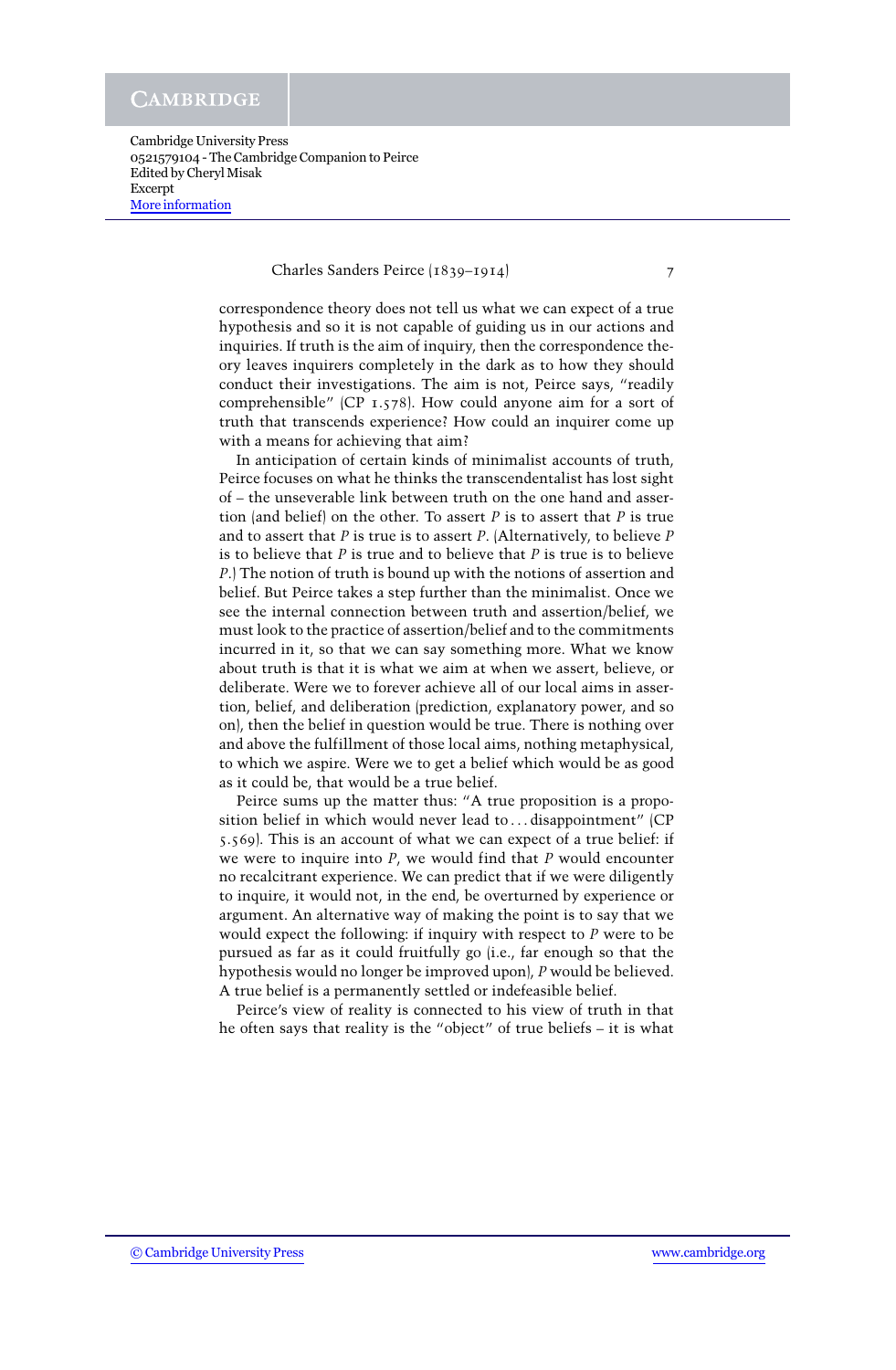Charles Sanders Peirce (1839–1914) 7

correspondence theory does not tell us what we can expect of a true hypothesis and so it is not capable of guiding us in our actions and inquiries. If truth is the aim of inquiry, then the correspondence theory leaves inquirers completely in the dark as to how they should conduct their investigations. The aim is not, Peirce says, "readily comprehensible" (CP 1.578). How could anyone aim for a sort of truth that transcends experience? How could an inquirer come up with a means for achieving that aim?

In anticipation of certain kinds of minimalist accounts of truth, Peirce focuses on what he thinks the transcendentalist has lost sight of – the unseverable link between truth on the one hand and assertion (and belief) on the other. To assert *P* is to assert that *P* is true and to assert that *P* is true is to assert *P*. (Alternatively, to believe *P* is to believe that *P* is true and to believe that *P* is true is to believe *P*.) The notion of truth is bound up with the notions of assertion and belief. But Peirce takes a step further than the minimalist. Once we see the internal connection between truth and assertion/belief, we must look to the practice of assertion/belief and to the commitments incurred in it, so that we can say something more. What we know about truth is that it is what we aim at when we assert, believe, or deliberate. Were we to forever achieve all of our local aims in assertion, belief, and deliberation (prediction, explanatory power, and so on), then the belief in question would be true. There is nothing over and above the fulfillment of those local aims, nothing metaphysical, to which we aspire. Were we to get a belief which would be as good as it could be, that would be a true belief.

Peirce sums up the matter thus: "A true proposition is a proposition belief in which would never lead to  $\dots$  disappointment" (CP 5.569). This is an account of what we can expect of a true belief: if we were to inquire into *P*, we would find that *P* would encounter no recalcitrant experience. We can predict that if we were diligently to inquire, it would not, in the end, be overturned by experience or argument. An alternative way of making the point is to say that we would expect the following: if inquiry with respect to *P* were to be pursued as far as it could fruitfully go (i.e., far enough so that the hypothesis would no longer be improved upon), *P* would be believed. A true belief is a permanently settled or indefeasible belief.

Peirce's view of reality is connected to his view of truth in that he often says that reality is the "object" of true beliefs – it is what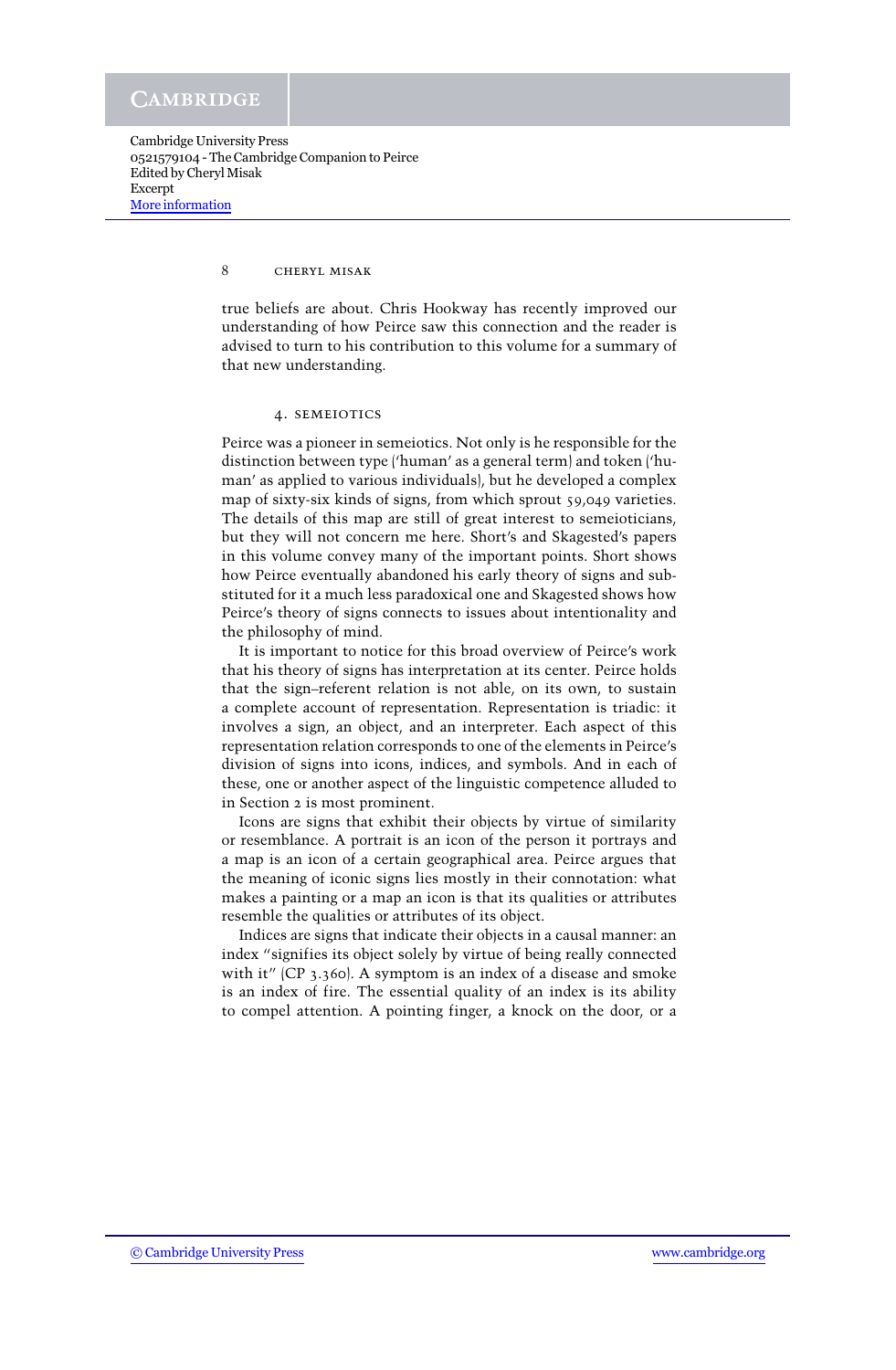#### 8 cheryl misak

true beliefs are about. Chris Hookway has recently improved our understanding of how Peirce saw this connection and the reader is advised to turn to his contribution to this volume for a summary of that new understanding.

#### 4. semeiotics

Peirce was a pioneer in semeiotics. Not only is he responsible for the distinction between type ('human' as a general term) and token ('human' as applied to various individuals), but he developed a complex map of sixty-six kinds of signs, from which sprout 59,049 varieties. The details of this map are still of great interest to semeioticians, but they will not concern me here. Short's and Skagested's papers in this volume convey many of the important points. Short shows how Peirce eventually abandoned his early theory of signs and substituted for it a much less paradoxical one and Skagested shows how Peirce's theory of signs connects to issues about intentionality and the philosophy of mind.

It is important to notice for this broad overview of Peirce's work that his theory of signs has interpretation at its center. Peirce holds that the sign–referent relation is not able, on its own, to sustain a complete account of representation. Representation is triadic: it involves a sign, an object, and an interpreter. Each aspect of this representation relation corresponds to one of the elements in Peirce's division of signs into icons, indices, and symbols. And in each of these, one or another aspect of the linguistic competence alluded to in Section 2 is most prominent.

Icons are signs that exhibit their objects by virtue of similarity or resemblance. A portrait is an icon of the person it portrays and a map is an icon of a certain geographical area. Peirce argues that the meaning of iconic signs lies mostly in their connotation: what makes a painting or a map an icon is that its qualities or attributes resemble the qualities or attributes of its object.

Indices are signs that indicate their objects in a causal manner: an index "signifies its object solely by virtue of being really connected with it" (CP 3.360). A symptom is an index of a disease and smoke is an index of fire. The essential quality of an index is its ability to compel attention. A pointing finger, a knock on the door, or a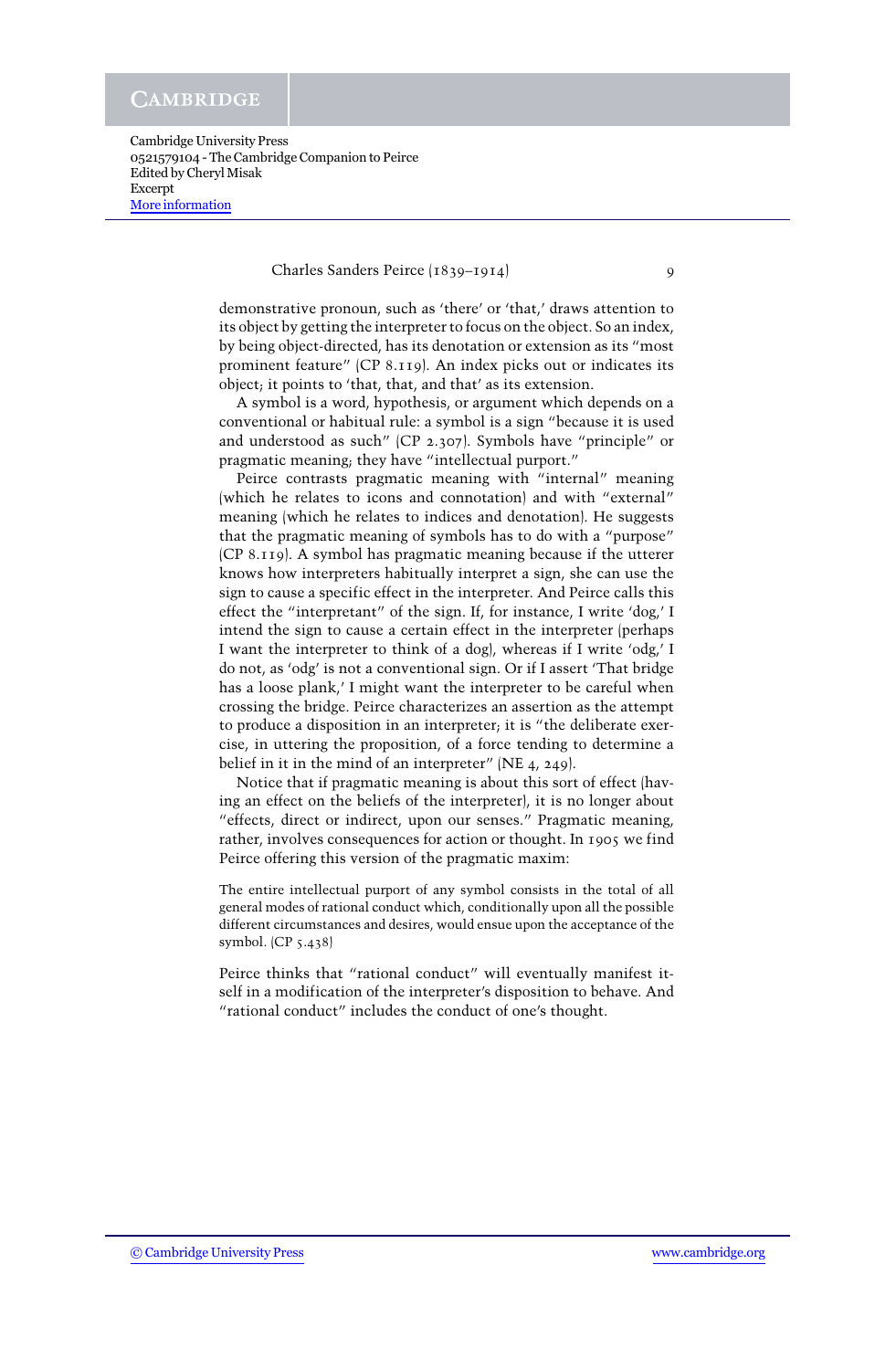Charles Sanders Peirce (1839–1914) 9

demonstrative pronoun, such as 'there' or 'that,' draws attention to its object by getting the interpreter to focus on the object. So an index, by being object-directed, has its denotation or extension as its "most prominent feature" (CP 8.119). An index picks out or indicates its object; it points to 'that, that, and that' as its extension.

A symbol is a word, hypothesis, or argument which depends on a conventional or habitual rule: a symbol is a sign "because it is used and understood as such" (CP 2.307). Symbols have "principle" or pragmatic meaning; they have "intellectual purport."

Peirce contrasts pragmatic meaning with "internal" meaning (which he relates to icons and connotation) and with "external" meaning (which he relates to indices and denotation). He suggests that the pragmatic meaning of symbols has to do with a "purpose" (CP 8.119). A symbol has pragmatic meaning because if the utterer knows how interpreters habitually interpret a sign, she can use the sign to cause a specific effect in the interpreter. And Peirce calls this effect the "interpretant" of the sign. If, for instance, I write 'dog,' I intend the sign to cause a certain effect in the interpreter (perhaps I want the interpreter to think of a dog), whereas if I write 'odg,' I do not, as 'odg' is not a conventional sign. Or if I assert 'That bridge has a loose plank,' I might want the interpreter to be careful when crossing the bridge. Peirce characterizes an assertion as the attempt to produce a disposition in an interpreter; it is "the deliberate exercise, in uttering the proposition, of a force tending to determine a belief in it in the mind of an interpreter" (NE 4, 249).

Notice that if pragmatic meaning is about this sort of effect (having an effect on the beliefs of the interpreter), it is no longer about "effects, direct or indirect, upon our senses." Pragmatic meaning, rather, involves consequences for action or thought. In 1905 we find Peirce offering this version of the pragmatic maxim:

The entire intellectual purport of any symbol consists in the total of all general modes of rational conduct which, conditionally upon all the possible different circumstances and desires, would ensue upon the acceptance of the symbol. (CP 5.438)

Peirce thinks that "rational conduct" will eventually manifest itself in a modification of the interpreter's disposition to behave. And "rational conduct" includes the conduct of one's thought.